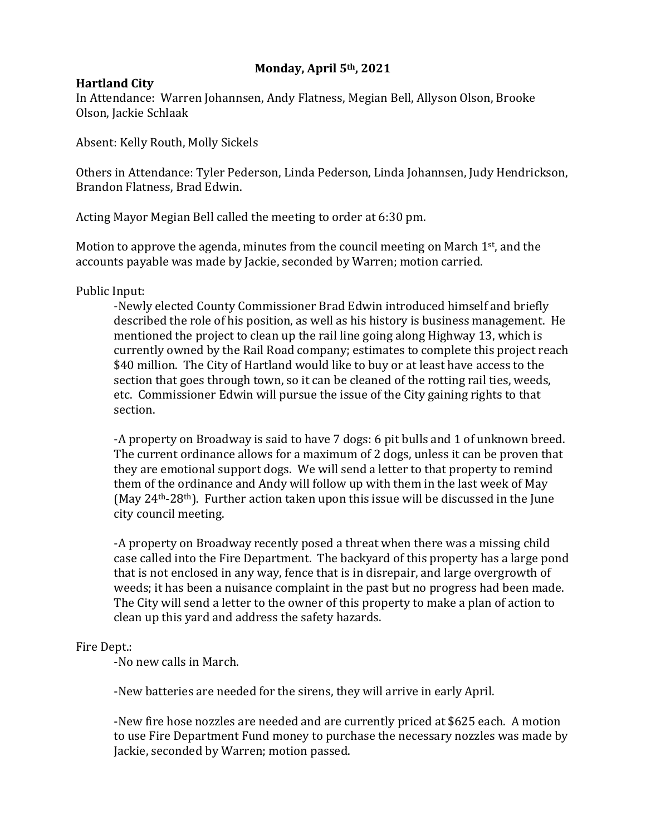# **Monday, April 5th, 2021**

## **Hartland City**

In Attendance: Warren Johannsen, Andy Flatness, Megian Bell, Allyson Olson, Brooke Olson, Jackie Schlaak

Absent: Kelly Routh, Molly Sickels

Others in Attendance: Tyler Pederson, Linda Pederson, Linda Johannsen, Judy Hendrickson, Brandon Flatness, Brad Edwin.

Acting Mayor Megian Bell called the meeting to order at 6:30 pm.

Motion to approve the agenda, minutes from the council meeting on March  $1<sup>st</sup>$ , and the accounts payable was made by Jackie, seconded by Warren; motion carried.

Public Input:

-Newly elected County Commissioner Brad Edwin introduced himself and briefly described the role of his position, as well as his history is business management. He mentioned the project to clean up the rail line going along Highway 13, which is currently owned by the Rail Road company; estimates to complete this project reach \$40 million. The City of Hartland would like to buy or at least have access to the section that goes through town, so it can be cleaned of the rotting rail ties, weeds, etc. Commissioner Edwin will pursue the issue of the City gaining rights to that section.

-A property on Broadway is said to have 7 dogs: 6 pit bulls and 1 of unknown breed. The current ordinance allows for a maximum of 2 dogs, unless it can be proven that they are emotional support dogs. We will send a letter to that property to remind them of the ordinance and Andy will follow up with them in the last week of May (May 24th-28th). Further action taken upon this issue will be discussed in the June city council meeting.

-A property on Broadway recently posed a threat when there was a missing child case called into the Fire Department. The backyard of this property has a large pond that is not enclosed in any way, fence that is in disrepair, and large overgrowth of weeds; it has been a nuisance complaint in the past but no progress had been made. The City will send a letter to the owner of this property to make a plan of action to clean up this yard and address the safety hazards.

### Fire Dept.:

-No new calls in March.

-New batteries are needed for the sirens, they will arrive in early April.

-New fire hose nozzles are needed and are currently priced at \$625 each. A motion to use Fire Department Fund money to purchase the necessary nozzles was made by Jackie, seconded by Warren; motion passed.